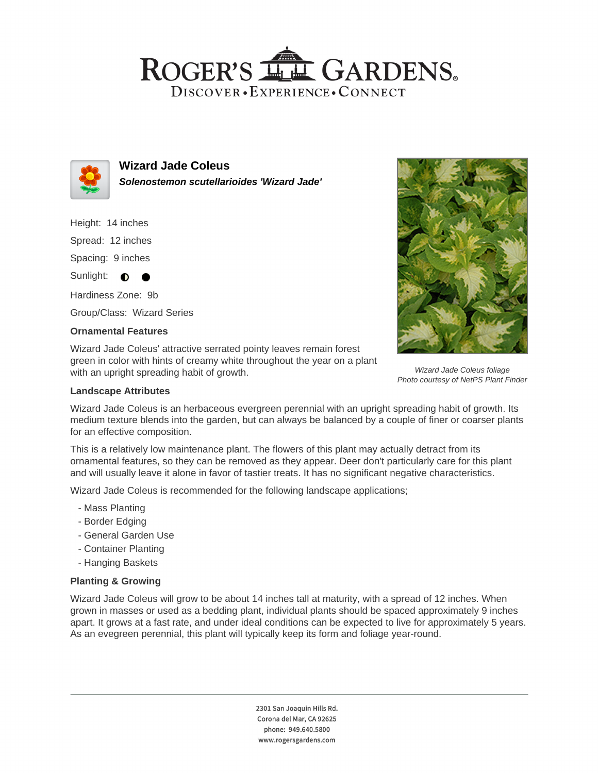## ROGER'S LL GARDENS. DISCOVER · EXPERIENCE · CONNECT



**Wizard Jade Coleus Solenostemon scutellarioides 'Wizard Jade'**

Height: 14 inches Spread: 12 inches

Spacing: 9 inches

Sunlight:  $\bullet$ 

Hardiness Zone: 9b Group/Class: Wizard Series

### **Ornamental Features**

Wizard Jade Coleus' attractive serrated pointy leaves remain forest green in color with hints of creamy white throughout the year on a plant with an upright spreading habit of growth.

### **Landscape Attributes**

Wizard Jade Coleus is an herbaceous evergreen perennial with an upright spreading habit of growth. Its medium texture blends into the garden, but can always be balanced by a couple of finer or coarser plants for an effective composition.

This is a relatively low maintenance plant. The flowers of this plant may actually detract from its ornamental features, so they can be removed as they appear. Deer don't particularly care for this plant and will usually leave it alone in favor of tastier treats. It has no significant negative characteristics.

Wizard Jade Coleus is recommended for the following landscape applications;

- Mass Planting
- Border Edging
- General Garden Use
- Container Planting
- Hanging Baskets

### **Planting & Growing**

Wizard Jade Coleus will grow to be about 14 inches tall at maturity, with a spread of 12 inches. When grown in masses or used as a bedding plant, individual plants should be spaced approximately 9 inches apart. It grows at a fast rate, and under ideal conditions can be expected to live for approximately 5 years. As an evegreen perennial, this plant will typically keep its form and foliage year-round.

> 2301 San Joaquin Hills Rd. Corona del Mar, CA 92625 phone: 949.640.5800 www.rogersgardens.com



Wizard Jade Coleus foliage Photo courtesy of NetPS Plant Finder